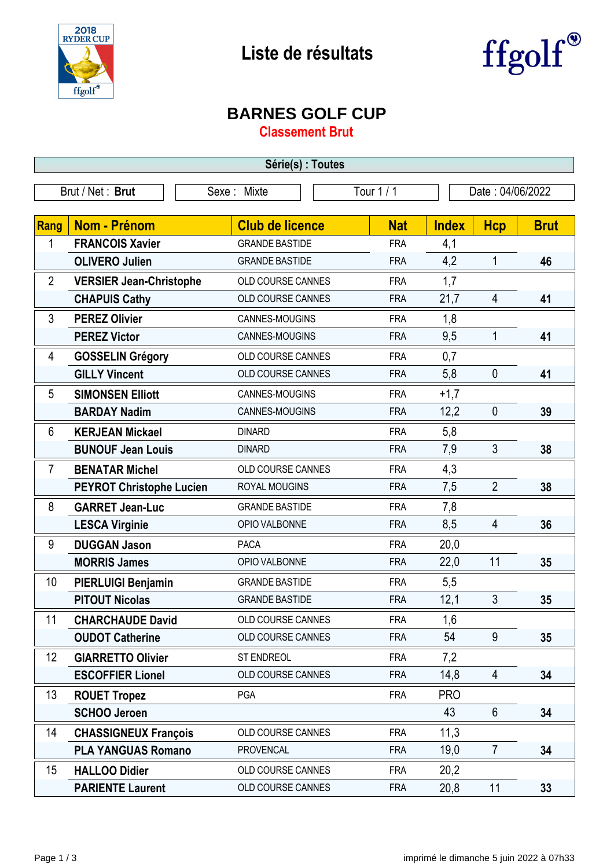



## **BARNES GOLF CUP**

**Classement Brut**

| Série(s) : Toutes |                                 |                          |            |                  |                |             |  |
|-------------------|---------------------------------|--------------------------|------------|------------------|----------------|-------------|--|
|                   | Brut / Net: Brut                | Sexe: Mixte              | Tour 1 / 1 | Date: 04/06/2022 |                |             |  |
|                   |                                 |                          |            |                  |                |             |  |
| Rang              | <b>Nom - Prénom</b>             | <b>Club de licence</b>   | <b>Nat</b> | <b>Index</b>     | <b>Hcp</b>     | <b>Brut</b> |  |
| 1                 | <b>FRANCOIS Xavier</b>          | <b>GRANDE BASTIDE</b>    | <b>FRA</b> | 4,1              |                |             |  |
|                   | <b>OLIVERO Julien</b>           | <b>GRANDE BASTIDE</b>    | <b>FRA</b> | 4,2              | $\mathbf{1}$   | 46          |  |
| $\overline{2}$    | <b>VERSIER Jean-Christophe</b>  | OLD COURSE CANNES        | <b>FRA</b> | 1,7              |                |             |  |
|                   | <b>CHAPUIS Cathy</b>            | OLD COURSE CANNES        | <b>FRA</b> | 21,7             | $\overline{4}$ | 41          |  |
| 3                 | <b>PEREZ Olivier</b>            | CANNES-MOUGINS           | <b>FRA</b> | 1,8              |                |             |  |
|                   | <b>PEREZ Victor</b>             | CANNES-MOUGINS           | <b>FRA</b> | 9,5              | $\mathbf{1}$   | 41          |  |
| 4                 | <b>GOSSELIN Grégory</b>         | OLD COURSE CANNES        | <b>FRA</b> | 0,7              |                |             |  |
|                   | <b>GILLY Vincent</b>            | <b>OLD COURSE CANNES</b> | <b>FRA</b> | 5,8              | $\mathbf 0$    | 41          |  |
| 5                 | <b>SIMONSEN Elliott</b>         | CANNES-MOUGINS           | <b>FRA</b> | $+1,7$           |                |             |  |
|                   | <b>BARDAY Nadim</b>             | CANNES-MOUGINS           | <b>FRA</b> | 12,2             | $\mathbf 0$    | 39          |  |
| 6                 | <b>KERJEAN Mickael</b>          | <b>DINARD</b>            | <b>FRA</b> | 5,8              |                |             |  |
|                   | <b>BUNOUF Jean Louis</b>        | <b>DINARD</b>            | <b>FRA</b> | 7,9              | 3              | 38          |  |
| $\overline{7}$    | <b>BENATAR Michel</b>           | OLD COURSE CANNES        | <b>FRA</b> | 4,3              |                |             |  |
|                   | <b>PEYROT Christophe Lucien</b> | ROYAL MOUGINS            | <b>FRA</b> | 7,5              | $\overline{2}$ | 38          |  |
| 8                 | <b>GARRET Jean-Luc</b>          | <b>GRANDE BASTIDE</b>    | <b>FRA</b> | 7,8              |                |             |  |
|                   | <b>LESCA Virginie</b>           | OPIO VALBONNE            | <b>FRA</b> | 8,5              | 4              | 36          |  |
| 9                 | <b>DUGGAN Jason</b>             | <b>PACA</b>              | <b>FRA</b> | 20,0             |                |             |  |
|                   | <b>MORRIS James</b>             | OPIO VALBONNE            | <b>FRA</b> | 22,0             | 11             | 35          |  |
| 10                | PIERLUIGI Benjamin              | <b>GRANDE BASTIDE</b>    | <b>FRA</b> | 5,5              |                |             |  |
|                   | <b>PITOUT Nicolas</b>           | <b>GRANDE BASTIDE</b>    | <b>FRA</b> | 12,1             | 3              | 35          |  |
| 11                | <b>CHARCHAUDE David</b>         | OLD COURSE CANNES        | <b>FRA</b> | 1,6              |                |             |  |
|                   | <b>OUDOT Catherine</b>          | OLD COURSE CANNES        | <b>FRA</b> | 54               | 9              | 35          |  |
| 12                | <b>GIARRETTO Olivier</b>        | <b>ST ENDREOL</b>        | <b>FRA</b> | 7,2              |                |             |  |
|                   | <b>ESCOFFIER Lionel</b>         | OLD COURSE CANNES        | <b>FRA</b> | 14,8             | 4              | 34          |  |
| 13                | <b>ROUET Tropez</b>             | PGA                      | <b>FRA</b> | <b>PRO</b>       |                |             |  |
|                   | <b>SCHOO Jeroen</b>             |                          |            | 43               | $6\phantom{1}$ | 34          |  |
| 14                | <b>CHASSIGNEUX François</b>     | OLD COURSE CANNES        | <b>FRA</b> | 11,3             |                |             |  |
|                   | <b>PLA YANGUAS Romano</b>       | <b>PROVENCAL</b>         | <b>FRA</b> | 19,0             | $\overline{7}$ | 34          |  |
| 15                | <b>HALLOO Didier</b>            | OLD COURSE CANNES        | <b>FRA</b> | 20,2             |                |             |  |
|                   | <b>PARIENTE Laurent</b>         | OLD COURSE CANNES        | <b>FRA</b> | 20,8             | 11             | 33          |  |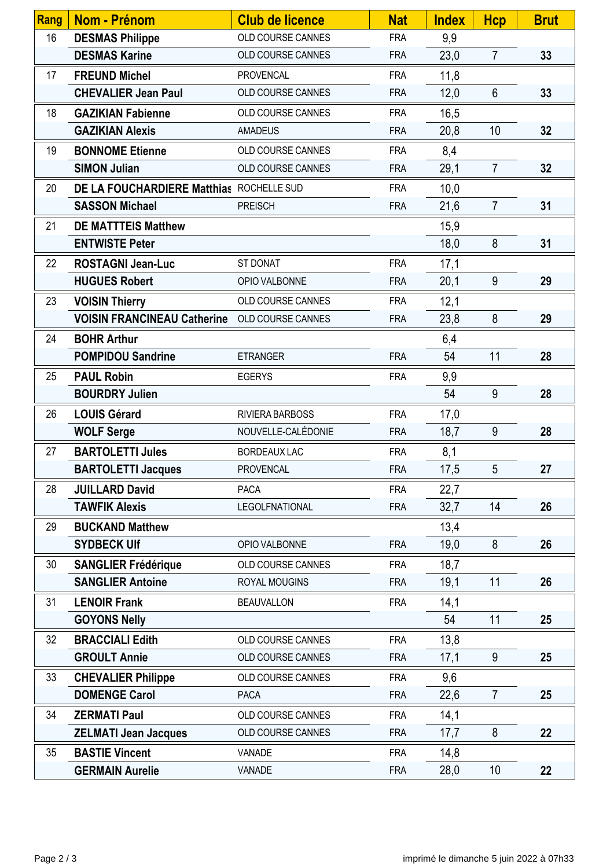| Rang | <b>Nom - Prénom</b>                                  | <b>Club de licence</b> | <b>Nat</b> | <b>Index</b> | <b>Hcp</b>      | <b>Brut</b> |
|------|------------------------------------------------------|------------------------|------------|--------------|-----------------|-------------|
| 16   | <b>DESMAS Philippe</b>                               | OLD COURSE CANNES      | <b>FRA</b> | 9,9          |                 |             |
|      | <b>DESMAS Karine</b>                                 | OLD COURSE CANNES      | <b>FRA</b> | 23,0         | $\overline{7}$  | 33          |
| 17   | <b>FREUND Michel</b>                                 | <b>PROVENCAL</b>       | <b>FRA</b> | 11,8         |                 |             |
|      | <b>CHEVALIER Jean Paul</b>                           | OLD COURSE CANNES      | <b>FRA</b> | 12,0         | 6               | 33          |
| 18   | <b>GAZIKIAN Fabienne</b>                             | OLD COURSE CANNES      | <b>FRA</b> | 16,5         |                 |             |
|      | <b>GAZIKIAN Alexis</b>                               | <b>AMADEUS</b>         | <b>FRA</b> | 20,8         | 10              | 32          |
| 19   | <b>BONNOME Etienne</b>                               | OLD COURSE CANNES      | <b>FRA</b> | 8,4          |                 |             |
|      | <b>SIMON Julian</b>                                  | OLD COURSE CANNES      | <b>FRA</b> | 29,1         | $\overline{7}$  | 32          |
| 20   | DE LA FOUCHARDIERE Matthias ROCHELLE SUD             |                        | <b>FRA</b> | 10,0         |                 |             |
|      | <b>SASSON Michael</b>                                | <b>PREISCH</b>         | <b>FRA</b> | 21,6         | $\overline{7}$  | 31          |
| 21   | <b>DE MATTTEIS Matthew</b>                           |                        |            | 15,9         |                 |             |
|      | <b>ENTWISTE Peter</b>                                |                        |            | 18,0         | 8               | 31          |
| 22   | <b>ROSTAGNI Jean-Luc</b>                             | <b>ST DONAT</b>        | <b>FRA</b> | 17,1         |                 |             |
|      | <b>HUGUES Robert</b>                                 | OPIO VALBONNE          | <b>FRA</b> | 20,1         | 9               | 29          |
| 23   | <b>VOISIN Thierry</b>                                | OLD COURSE CANNES      | <b>FRA</b> | 12,1         |                 |             |
|      | <b>VOISIN FRANCINEAU Catherine</b> OLD COURSE CANNES |                        | <b>FRA</b> | 23,8         | 8               | 29          |
| 24   | <b>BOHR Arthur</b>                                   |                        |            | 6,4          |                 |             |
|      | <b>POMPIDOU Sandrine</b>                             | <b>ETRANGER</b>        | <b>FRA</b> | 54           | 11              | 28          |
| 25   | <b>PAUL Robin</b>                                    | <b>EGERYS</b>          | <b>FRA</b> | 9,9          |                 |             |
|      | <b>BOURDRY Julien</b>                                |                        |            | 54           | 9               | 28          |
| 26   | <b>LOUIS Gérard</b>                                  | RIVIERA BARBOSS        | <b>FRA</b> | 17,0         |                 |             |
|      | <b>WOLF Serge</b>                                    | NOUVELLE-CALÉDONIE     | <b>FRA</b> | 18,7         | 9               | 28          |
| 27   | <b>BARTOLETTI Jules</b>                              | <b>BORDEAUX LAC</b>    | <b>FRA</b> | 8,1          |                 |             |
|      | <b>BARTOLETTI Jacques</b>                            | PROVENCAL              | <b>FRA</b> | 17,5         | 5               | 27          |
| 28   | <b>JUILLARD David</b>                                | <b>PACA</b>            | <b>FRA</b> | 22,7         |                 |             |
|      | <b>TAWFIK Alexis</b>                                 | LEGOLFNATIONAL         | <b>FRA</b> | 32,7         | 14              | 26          |
| 29   | <b>BUCKAND Matthew</b>                               |                        |            | 13,4         |                 |             |
|      | <b>SYDBECK Ulf</b>                                   | OPIO VALBONNE          | <b>FRA</b> | 19,0         | 8               | 26          |
| 30   | <b>SANGLIER Frédérique</b>                           | OLD COURSE CANNES      | <b>FRA</b> | 18,7         |                 |             |
|      | <b>SANGLIER Antoine</b>                              | ROYAL MOUGINS          | <b>FRA</b> | 19,1         | 11              | 26          |
| 31   | <b>LENOIR Frank</b>                                  | <b>BEAUVALLON</b>      | <b>FRA</b> | 14,1         |                 |             |
|      | <b>GOYONS Nelly</b>                                  |                        |            | 54           | 11              | 25          |
| 32   | <b>BRACCIALI Edith</b>                               | OLD COURSE CANNES      | <b>FRA</b> | 13,8         |                 |             |
|      | <b>GROULT Annie</b>                                  | OLD COURSE CANNES      | <b>FRA</b> | 17,1         | 9               | 25          |
| 33   | <b>CHEVALIER Philippe</b>                            | OLD COURSE CANNES      | <b>FRA</b> | 9,6          |                 |             |
|      | <b>DOMENGE Carol</b>                                 | <b>PACA</b>            | <b>FRA</b> | 22,6         | $\overline{7}$  | 25          |
| 34   | <b>ZERMATI Paul</b>                                  | OLD COURSE CANNES      | <b>FRA</b> | 14,1         |                 |             |
|      | <b>ZELMATI Jean Jacques</b>                          | OLD COURSE CANNES      | <b>FRA</b> | 17,7         | 8               | 22          |
| 35   | <b>BASTIE Vincent</b>                                | VANADE                 | <b>FRA</b> | 14,8         |                 |             |
|      | <b>GERMAIN Aurelie</b>                               | VANADE                 | <b>FRA</b> | 28,0         | 10 <sup>1</sup> | 22          |